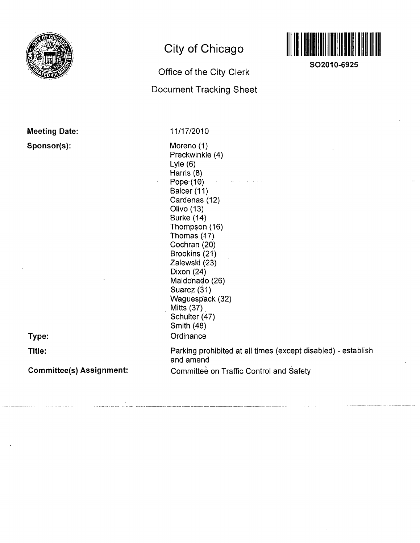

# **City of Chicago**

# Office of the City Clerk

Document Tracking Sheet



**SO2010-6925** 

| <b>Meeting Date:</b> |  |
|----------------------|--|
| Sponsor(s):          |  |

11/17/2010

Moreno (1) Preckwinkle (4) Lyle (6) Harris (8) Pope (10) Balcer (11) Cardenas (12) Olivo (13) Burke (14) Thompson (16) Thomas (17) Cochran (20) Brookins (21) Zaiewski (23) Dixon (24) Maldonado (26) Suarez (31) Waguespack (32) Mitts (37) Schulter (47) Smith (48) **Ordinance** Parking prohibited at all times (except disabled) - establish and amend Committee on Traffic Control and Safety

**Committee(s) Assignment:** 

**Type:** 

**Title:**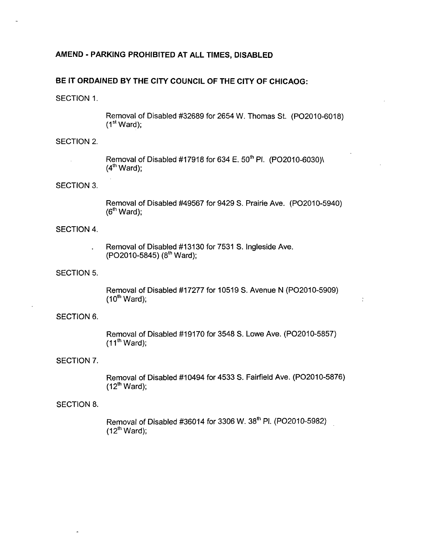# **AMEND - PARKING PROHIBITED AT ALL TIMES, DISABLED**

# **BE IT ORDAINED BY THE CITY COUNCIL OF THE CITY OF CHICAOG:**

SECTION 1.

Removal of Disabled #32689 for 2654 W. Thomas St. (PO2010-6018)  $(1<sup>st</sup> Ward);$ 

#### SECTION 2.

Removal of Disabled #17918 for 634 E. 50'" PI. (PO2010-6030)\  $(4<sup>th</sup> Ward);$ 

#### SECTION 3.

Removal of Disabled #49567 for 9429 S. Prairie Ave. (PO2010-5940)  $(6<sup>th</sup> Ward)$ ;

# SECTION 4.

Removal of Disabled #13130 for 7531 S. Ingleside Ave. (PO2010-5845) (8'" Ward);

SECTION 5.

Removal of Disabled #17277 for 10519 S. Avenue N (PO2010-5909)  $(10^{th}$  Ward);

 $\hat{\boldsymbol{\beta}}$ 

# SECTION 6.

Removal of Disabled #19170 for 3548 S. Lowe Ave. (PO2010-5857)  $(11<sup>th</sup> Ward);$ 

#### SECTION 7.

Removal of Disabled #10494 for 4533 S. Fairfield Ave. (PO2010-5876)  $(12<sup>th</sup> Ward);$ 

#### SECTION 8.

Removal of Disabled #36014 for 3306 W. 38'" PI. (PO2010-5982)  $(12<sup>th</sup> Ward);$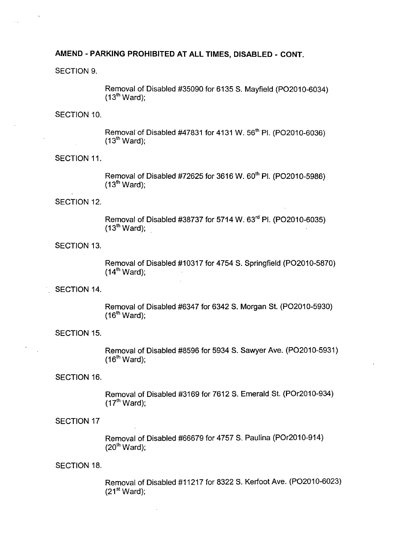# **AMEND - PARKING PROHIBITED AT ALL TIMES, DISABLED - CONT.**

SECTION 9.

Removal of Disabled #35090 for 6135 S. Mayfield (PO2010-6034)  $(13<sup>th</sup> Ward);$ 

SECTION 10.

Removal of Disabled #47831 for 4131 W. 56'" Pl. (PO2010-6036)  $(13<sup>th</sup> Ward);$ 

SECTION 11.

Removal of Disabled #72625 for 3616 W. 60'" PI. (PO2010-5986)  $(13<sup>th</sup> Ward);$ 

SECTION 12.

Removal of Disabled #38737 for 5714 W. 63'" PI. (PO2010-6035)  $(13<sup>th</sup> Ward);$ 

SECTION 13.

Removal of Disabled #10317 for 4754 S. Springfield (PO2010-5870)  $(14<sup>th</sup> Ward);$ 

SECTION 14.

Removal of Disabled #6347 for 6342 S. Morgan St. (PO2010-5930)  $(16<sup>th</sup> Ward);$ 

SECTION 15.

Removal of Disabled #8596 for 5934 S. Sawyer Ave. (PO2010-5931)  $(16<sup>th</sup> Ward);$ 

SECTION 16.

Removal of Disabled #3169 for 7612 S. Emerald St. (POr2010-934)  $(17<sup>th</sup> Ward);$ 

#### SECTION 17

Removal of Disabled #66679 for 4757 S. Paulina (POr2010-914)  $(20<sup>th</sup> Ward);$ 

#### SECTION 18.

Removal of Disabled #11217 for 8322 S. Kerfoot Ave. (PO2010-6023)  $(21<sup>st</sup> Ward);$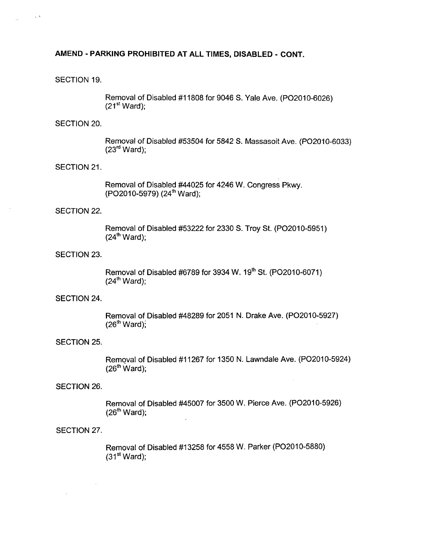# **AMEND - PARKING PROHIBITED AT ALL TIMES, DISABLED - CONT.**

#### SECTION 19.

 $\sim$ 

Removal of Disabled #11808 for 9046 S. Yale Ave. (PO2010-6026)  $(21<sup>st</sup> Ward):$ 

#### SECTION 20.

Removal of Disabled #53504 for 5842 S. Massasoit Ave. (PO2010-6033)  $(23<sup>rd</sup> Ward);$ 

#### SECTION 21.

Removal of Disabled #44025 for 4246 W. Congress Pkwy. (PO2010-5979) (24'" Ward);

#### SECTION 22.

Removal of Disabled #53222 for 2330 S. Troy St. (PO2010-5951)  $(24<sup>th</sup> Ward);$ 

#### SECTION 23.

Removal of Disabled #6789 for 3934 W. 19'" St. (PO2010-6071)  $(24<sup>th</sup> Ward):$ 

#### SECTION 24.

Removal of Disabled #48289 for 2051 N. Drake Ave. (PO2010-5927)  $(26<sup>th</sup> Ward);$ 

#### SECTION 25.

Removal of Disabled #11267 for 1350 N. Lawndale Ave. (PO2010-5924)  $(26<sup>th</sup> Ward)$ ;

 $\overline{\phantom{a}}$ 

#### SECTION 26.

Removal of Disabled #45007 for 3500 W. Pierce Ave. (PO2010-5926)  $(26<sup>th</sup> Ward);$ 

#### SECTION 27.

 $\bar{z}$ 

Removal of Disabled #13258 for 4558 W. Parker (PO2010-5880)  $(31<sup>st</sup> Ward);$